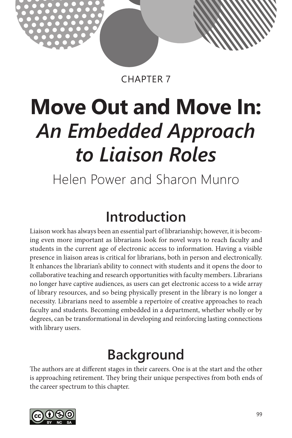

CHAPTER 7

# **Move Out and Move In:** *An Embedded Approach to Liaison Roles*

Helen Power and Sharon Munro

## **Introduction**

Liaison work has always been an essential part of librarianship; however, it is becoming even more important as librarians look for novel ways to reach faculty and students in the current age of electronic access to information. Having a visible presence in liaison areas is critical for librarians, both in person and electronically. It enhances the librarian's ability to connect with students and it opens the door to collaborative teaching and research opportunities with faculty members. Librarians no longer have captive audiences, as users can get electronic access to a wide array of library resources, and so being physically present in the library is no longer a necessity. Librarians need to assemble a repertoire of creative approaches to reach faculty and students. Becoming embedded in a department, whether wholly or by degrees, can be transformational in developing and reinforcing lasting connections with library users.

## **Background**

The authors are at different stages in their careers. One is at the start and the other is approaching retirement. They bring their unique perspectives from both ends of the career spectrum to this chapter.

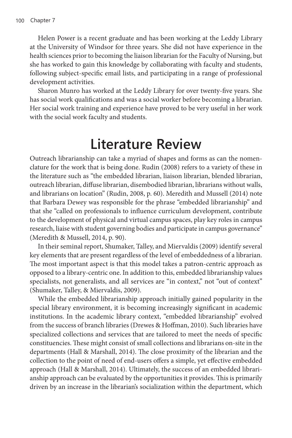Helen Power is a recent graduate and has been working at the Leddy Library at the University of Windsor for three years. She did not have experience in the health sciences prior to becoming the liaison librarian for the Faculty of Nursing, but she has worked to gain this knowledge by collaborating with faculty and students, following subject-specific email lists, and participating in a range of professional development activities.

Sharon Munro has worked at the Leddy Library for over twenty-five years. She has social work qualifications and was a social worker before becoming a librarian. Her social work training and experience have proved to be very useful in her work with the social work faculty and students.

## **Literature Review**

Outreach librarianship can take a myriad of shapes and forms as can the nomenclature for the work that is being done. Rudin (2008) refers to a variety of these in the literature such as "the embedded librarian, liaison librarian, blended librarian, outreach librarian, diffuse librarian, disembodied librarian, librarians without walls, and librarians on location" (Rudin, 2008, p. 60). Meredith and Mussell (2014) note that Barbara Dewey was responsible for the phrase "embedded librarianship" and that she "called on professionals to influence curriculum development, contribute to the development of physical and virtual campus spaces, play key roles in campus research, liaise with student governing bodies and participate in campus governance" (Meredith & Mussell, 2014, p. 90).

In their seminal report, Shumaker, Talley, and Miervaldis (2009) identify several key elements that are present regardless of the level of embeddedness of a librarian. The most important aspect is that this model takes a patron-centric approach as opposed to a library-centric one. In addition to this, embedded librarianship values specialists, not generalists, and all services are "in context," not "out of context" (Shumaker, Talley, & Miervaldis, 2009).

While the embedded librarianship approach initially gained popularity in the special library environment, it is becoming increasingly significant in academic institutions. In the academic library context, "embedded librarianship" evolved from the success of branch libraries (Drewes & Hoffman, 2010). Such libraries have specialized collections and services that are tailored to meet the needs of specific constituencies. These might consist of small collections and librarians on-site in the departments (Hall & Marshall, 2014). The close proximity of the librarian and the collection to the point of need of end-users offers a simple, yet effective embedded approach (Hall & Marshall, 2014). Ultimately, the success of an embedded librarianship approach can be evaluated by the opportunities it provides. This is primarily driven by an increase in the librarian's socialization within the department, which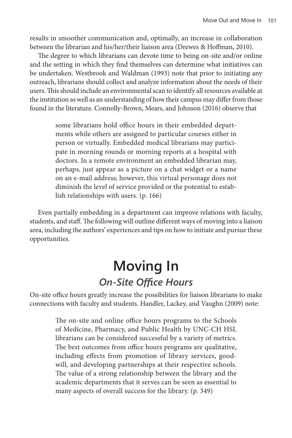results in smoother communication and, optimally, an increase in collaboration between the librarian and his/her/their liaison area (Drewes & Hoffman, 2010).

The degree to which librarians can devote time to being on-site and/or online and the setting in which they find themselves can determine what initiatives can be undertaken. Westbrook and Waldman (1993) note that prior to initiating any outreach, librarians should collect and analyze information about the needs of their users. This should include an environmental scan to identify all resources available at the institution as well as an understanding of how their campus may differ from those found in the literature. Connolly-Brown, Mears, and Johnson (2016) observe that

> some librarians hold office hours in their embedded departments while others are assigned to particular courses either in person or virtually. Embedded medical librarians may participate in morning rounds or morning reports at a hospital with doctors. In a remote environment an embedded librarian may, perhaps, just appear as a picture on a chat widget or a name on an e-mail address; however, this virtual personage does not diminish the level of service provided or the potential to establish relationships with users. (p. 166)

Even partially embedding in a department can improve relations with faculty, students, and staff. The following will outline different ways of moving into a liaison area, including the authors' experiences and tips on how to initiate and pursue these opportunities.

## **Moving In** *On-Site Office Hours*

On-site office hours greatly increase the possibilities for liaison librarians to make connections with faculty and students. Handler, Lackey, and Vaughn (2009) note:

> The on-site and online office hours programs to the Schools of Medicine, Pharmacy, and Public Health by UNC-CH HSL librarians can be considered successful by a variety of metrics. The best outcomes from office hours programs are qualitative, including effects from promotion of library services, goodwill, and developing partnerships at their respective schools. The value of a strong relationship between the library and the academic departments that it serves can be seen as essential to many aspects of overall success for the library. (p. 349)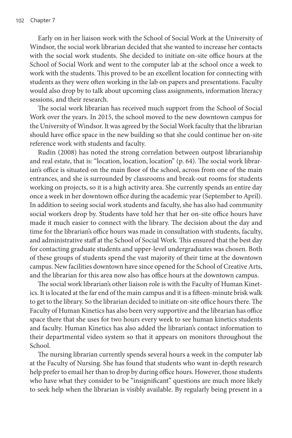Early on in her liaison work with the School of Social Work at the University of Windsor, the social work librarian decided that she wanted to increase her contacts with the social work students. She decided to initiate on-site office hours at the School of Social Work and went to the computer lab at the school once a week to work with the students. This proved to be an excellent location for connecting with students as they were often working in the lab on papers and presentations. Faculty would also drop by to talk about upcoming class assignments, information literacy sessions, and their research.

The social work librarian has received much support from the School of Social Work over the years. In 2015, the school moved to the new downtown campus for the University of Windsor. It was agreed by the Social Work faculty that the librarian should have office space in the new building so that she could continue her on-site reference work with students and faculty.

Rudin (2008) has noted the strong correlation between outpost librarianship and real estate, that is: "location, location, location" (p. 64). The social work librarian's office is situated on the main floor of the school, across from one of the main entrances, and she is surrounded by classrooms and break-out rooms for students working on projects, so it is a high activity area. She currently spends an entire day once a week in her downtown office during the academic year (September to April). In addition to seeing social work students and faculty, she has also had community social workers drop by. Students have told her that her on-site office hours have made it much easier to connect with the library. The decision about the day and time for the librarian's office hours was made in consultation with students, faculty, and administrative staff at the School of Social Work. This ensured that the best day for contacting graduate students and upper-level undergraduates was chosen. Both of these groups of students spend the vast majority of their time at the downtown campus. New facilities downtown have since opened for the School of Creative Arts, and the librarian for this area now also has office hours at the downtown campus.

The social work librarian's other liaison role is with the Faculty of Human Kinetics. It is located at the far end of the main campus and it is a fifteen-minute brisk walk to get to the library. So the librarian decided to initiate on-site office hours there. The Faculty of Human Kinetics has also been very supportive and the librarian has office space there that she uses for two hours every week to see human kinetics students and faculty. Human Kinetics has also added the librarian's contact information to their departmental video system so that it appears on monitors throughout the School.

The nursing librarian currently spends several hours a week in the computer lab at the Faculty of Nursing. She has found that students who want in-depth research help prefer to email her than to drop by during office hours. However, those students who have what they consider to be "insignificant" questions are much more likely to seek help when the librarian is visibly available. By regularly being present in a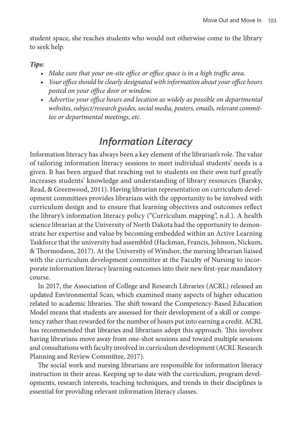student space, she reaches students who would not otherwise come to the library to seek help.

#### *Tips:*

- *• Make sure that your on-site office or office space is in a high traffic area.*
- *• Your office should be clearly designated with information about your office hours posted on your office door or window.*
- Advertise your office hours and location as widely as possible on departmental *websites, subject/research guides, social media, posters, emails, relevant committee or departmental meetings, etc.*

## *Information Literacy*

Information literacy has always been a key element of the librarian's role. The value of tailoring information literacy sessions to meet individual students' needs is a given. It has been argued that reaching out to students on their own turf greatly increases students' knowledge and understanding of library resources (Barsky, Read, & Greenwood, 2011). Having librarian representation on curriculum development committees provides librarians with the opportunity to be involved with curriculum design and to ensure that learning objectives and outcomes reflect the library's information literacy policy ("Curriculum mapping", n.d.). A health science librarian at the University of North Dakota had the opportunity to demonstrate her expertise and value by becoming embedded within an Active Learning Taskforce that the university had assembled (Hackman, Francis, Johnson, Nickum, & Thormodson, 2017). At the University of Windsor, the nursing librarian liaised with the curriculum development committee at the Faculty of Nursing to incorporate information literacy learning outcomes into their new first-year mandatory course.

In 2017, the Association of College and Research Libraries (ACRL) released an updated Environmental Scan, which examined many aspects of higher education related to academic libraries. The shift toward the Competency-Based Education Model means that students are assessed for their development of a skill or competency rather than rewarded for the number of hours put into earning a credit. ACRL has recommended that libraries and librarians adopt this approach. This involves having librarians move away from one-shot sessions and toward multiple sessions and consultations with faculty involved in curriculum development (ACRL Research Planning and Review Committee, 2017).

The social work and nursing librarians are responsible for information literacy instruction in their areas. Keeping up to date with the curriculum, program developments, research interests, teaching techniques, and trends in their disciplines is essential for providing relevant information literacy classes.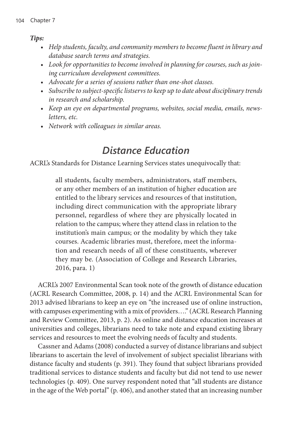*Tips:*

- *• Help students, faculty, and community members to become fluent in library and database search terms and strategies.*
- *• Look for opportunities to become involved in planning for courses, such as joining curriculum development committees.*
- *• Advocate for a series of sessions rather than one-shot classes.*
- *• Subscribe to subject-specific listservs to keep up to date about disciplinary trends in research and scholarship.*
- *• Keep an eye on departmental programs, websites, social media, emails, newsletters, etc.*
- *• Network with colleagues in similar areas.*

## *Distance Education*

ACRL's Standards for Distance Learning Services states unequivocally that:

all students, faculty members, administrators, staff members, or any other members of an institution of higher education are entitled to the library services and resources of that institution, including direct communication with the appropriate library personnel, regardless of where they are physically located in relation to the campus; where they attend class in relation to the institution's main campus; or the modality by which they take courses. Academic libraries must, therefore, meet the information and research needs of all of these constituents, wherever they may be. (Association of College and Research Libraries, 2016, para. 1)

ACRL's 2007 Environmental Scan took note of the growth of distance education (ACRL Research Committee, 2008, p. 14) and the ACRL Environmental Scan for 2013 advised librarians to keep an eye on "the increased use of online instruction, with campuses experimenting with a mix of providers…." (ACRL Research Planning and Review Committee, 2013, p. 2). As online and distance education increases at universities and colleges, librarians need to take note and expand existing library services and resources to meet the evolving needs of faculty and students.

Cassner and Adams (2008) conducted a survey of distance librarians and subject librarians to ascertain the level of involvement of subject specialist librarians with distance faculty and students (p. 391). They found that subject librarians provided traditional services to distance students and faculty but did not tend to use newer technologies (p. 409). One survey respondent noted that "all students are distance in the age of the Web portal" (p. 406), and another stated that an increasing number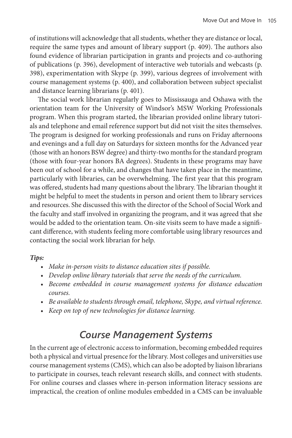of institutions will acknowledge that all students, whether they are distance or local, require the same types and amount of library support (p. 409). The authors also found evidence of librarian participation in grants and projects and co-authoring of publications (p. 396), development of interactive web tutorials and webcasts (p. 398), experimentation with Skype (p. 399), various degrees of involvement with course management systems (p. 400), and collaboration between subject specialist and distance learning librarians (p. 401).

The social work librarian regularly goes to Mississauga and Oshawa with the orientation team for the University of Windsor's MSW Working Professionals program. When this program started, the librarian provided online library tutorials and telephone and email reference support but did not visit the sites themselves. The program is designed for working professionals and runs on Friday afternoons and evenings and a full day on Saturdays for sixteen months for the Advanced year (those with an honors BSW degree) and thirty-two months for the standard program (those with four-year honors BA degrees). Students in these programs may have been out of school for a while, and changes that have taken place in the meantime, particularly with libraries, can be overwhelming. The first year that this program was offered, students had many questions about the library. The librarian thought it might be helpful to meet the students in person and orient them to library services and resources. She discussed this with the director of the School of Social Work and the faculty and staff involved in organizing the program, and it was agreed that she would be added to the orientation team. On-site visits seem to have made a significant difference, with students feeling more comfortable using library resources and contacting the social work librarian for help.

#### *Tips:*

- *• Make in-person visits to distance education sites if possible.*
- *• Develop online library tutorials that serve the needs of the curriculum.*
- *• Become embedded in course management systems for distance education courses.*
- *• Be available to students through email, telephone, Skype, and virtual reference.*
- *• Keep on top of new technologies for distance learning.*

### *Course Management Systems*

In the current age of electronic access to information, becoming embedded requires both a physical and virtual presence for the library. Most colleges and universities use course management systems (CMS), which can also be adopted by liaison librarians to participate in courses, teach relevant research skills, and connect with students. For online courses and classes where in-person information literacy sessions are impractical, the creation of online modules embedded in a CMS can be invaluable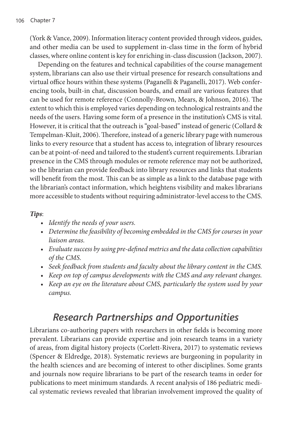(York & Vance, 2009). Information literacy content provided through videos, guides, and other media can be used to supplement in-class time in the form of hybrid classes, where online content is key for enriching in-class discussion (Jackson, 2007).

Depending on the features and technical capabilities of the course management system, librarians can also use their virtual presence for research consultations and virtual office hours within these systems (Paganelli & Paganelli, 2017). Web conferencing tools, built-in chat, discussion boards, and email are various features that can be used for remote reference (Connolly-Brown, Mears, & Johnson, 2016). The extent to which this is employed varies depending on technological restraints and the needs of the users. Having some form of a presence in the institution's CMS is vital. However, it is critical that the outreach is "goal-based" instead of generic (Collard & Tempelman-Kluit, 2006). Therefore, instead of a generic library page with numerous links to every resource that a student has access to, integration of library resources can be at point-of-need and tailored to the student's current requirements. Librarian presence in the CMS through modules or remote reference may not be authorized, so the librarian can provide feedback into library resources and links that students will benefit from the most. This can be as simple as a link to the database page with the librarian's contact information, which heightens visibility and makes librarians more accessible to students without requiring administrator-level access to the CMS.

#### *Tips*:

- *• Identify the needs of your users.*
- Determine the feasibility of becoming embedded in the CMS for courses in your *liaison areas.*
- *• Evaluate success by using pre-defined metrics and the data collection capabilities of the CMS.*
- *• Seek feedback from students and faculty about the library content in the CMS.*
- *• Keep on top of campus developments with the CMS and any relevant changes.*
- *Keep an eye on the literature about CMS, particularly the system used by your campus.*

### *Research Partnerships and Opportunities*

Librarians co-authoring papers with researchers in other fields is becoming more prevalent. Librarians can provide expertise and join research teams in a variety of areas, from digital history projects (Corlett-Rivera, 2017) to systematic reviews (Spencer & Eldredge, 2018). Systematic reviews are burgeoning in popularity in the health sciences and are becoming of interest to other disciplines. Some grants and journals now require librarians to be part of the research teams in order for publications to meet minimum standards. A recent analysis of 186 pediatric medical systematic reviews revealed that librarian involvement improved the quality of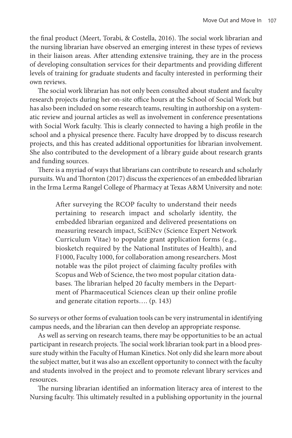the final product (Meert, Torabi, & Costella, 2016). The social work librarian and the nursing librarian have observed an emerging interest in these types of reviews in their liaison areas. After attending extensive training, they are in the process of developing consultation services for their departments and providing different levels of training for graduate students and faculty interested in performing their own reviews.

The social work librarian has not only been consulted about student and faculty research projects during her on-site office hours at the School of Social Work but has also been included on some research teams, resulting in authorship on a systematic review and journal articles as well as involvement in conference presentations with Social Work faculty. This is clearly connected to having a high profile in the school and a physical presence there. Faculty have dropped by to discuss research projects, and this has created additional opportunities for librarian involvement. She also contributed to the development of a library guide about research grants and funding sources.

There is a myriad of ways that librarians can contribute to research and scholarly pursuits. Wu and Thornton (2017) discuss the experiences of an embedded librarian in the Irma Lerma Rangel College of Pharmacy at Texas A&M University and note:

> After surveying the RCOP faculty to understand their needs pertaining to research impact and scholarly identity, the embedded librarian organized and delivered presentations on measuring research impact, SciENcv (Science Expert Network Curriculum Vitae) to populate grant application forms (e.g., biosketch required by the National Institutes of Health), and F1000, Faculty 1000, for collaboration among researchers. Most notable was the pilot project of claiming faculty profiles with Scopus and Web of Science, the two most popular citation databases. The librarian helped 20 faculty members in the Department of Pharmaceutical Sciences clean up their online profile and generate citation reports…. (p. 143)

So surveys or other forms of evaluation tools can be very instrumental in identifying campus needs, and the librarian can then develop an appropriate response.

As well as serving on research teams, there may be opportunities to be an actual participant in research projects. The social work librarian took part in a blood pressure study within the Faculty of Human Kinetics. Not only did she learn more about the subject matter, but it was also an excellent opportunity to connect with the faculty and students involved in the project and to promote relevant library services and resources.

The nursing librarian identified an information literacy area of interest to the Nursing faculty. This ultimately resulted in a publishing opportunity in the journal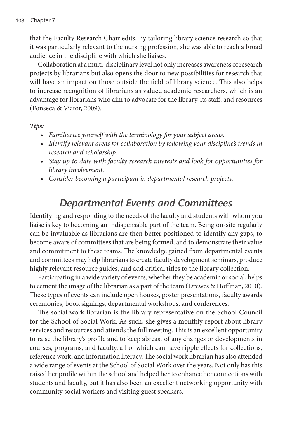that the Faculty Research Chair edits. By tailoring library science research so that it was particularly relevant to the nursing profession, she was able to reach a broad audience in the discipline with which she liaises.

Collaboration at a multi-disciplinary level not only increases awareness of research projects by librarians but also opens the door to new possibilities for research that will have an impact on those outside the field of library science. This also helps to increase recognition of librarians as valued academic researchers, which is an advantage for librarians who aim to advocate for the library, its staff, and resources (Fonseca & Viator, 2009).

#### *Tips:*

- *• Familiarize yourself with the terminology for your subject areas.*
- *• Identify relevant areas for collaboration by following your discipline's trends in research and scholarship.*
- *Stay up to date with faculty research interests and look for opportunities for library involvement.*
- *• Consider becoming a participant in departmental research projects.*

### *Departmental Events and Committees*

Identifying and responding to the needs of the faculty and students with whom you liaise is key to becoming an indispensable part of the team. Being on-site regularly can be invaluable as librarians are then better positioned to identify any gaps, to become aware of committees that are being formed, and to demonstrate their value and commitment to these teams. The knowledge gained from departmental events and committees may help librarians to create faculty development seminars, produce highly relevant resource guides, and add critical titles to the library collection.

Participating in a wide variety of events, whether they be academic or social, helps to cement the image of the librarian as a part of the team (Drewes & Hoffman, 2010). These types of events can include open houses, poster presentations, faculty awards ceremonies, book signings, departmental workshops, and conferences.

The social work librarian is the library representative on the School Council for the School of Social Work. As such, she gives a monthly report about library services and resources and attends the full meeting. This is an excellent opportunity to raise the library's profile and to keep abreast of any changes or developments in courses, programs, and faculty, all of which can have ripple effects for collections, reference work, and information literacy. The social work librarian has also attended a wide range of events at the School of Social Work over the years. Not only has this raised her profile within the school and helped her to enhance her connections with students and faculty, but it has also been an excellent networking opportunity with community social workers and visiting guest speakers.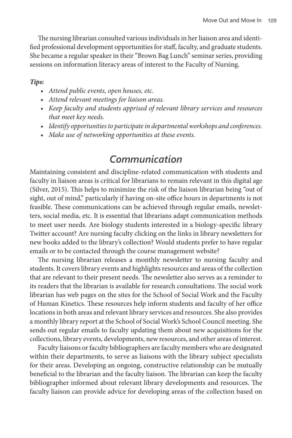The nursing librarian consulted various individuals in her liaison area and identified professional development opportunities for staff, faculty, and graduate students. She became a regular speaker in their "Brown Bag Lunch" seminar series, providing sessions on information literacy areas of interest to the Faculty of Nursing.

#### *Tips:*

- *• Attend public events, open houses, etc.*
- *• Attend relevant meetings for liaison areas.*
- *• Keep faculty and students apprised of relevant library services and resources that meet key needs.*
- *• Identify opportunities to participate in departmental workshops and conferences.*
- *• Make use of networking opportunities at these events.*

### *Communication*

Maintaining consistent and discipline-related communication with students and faculty in liaison areas is critical for librarians to remain relevant in this digital age (Silver, 2015). This helps to minimize the risk of the liaison librarian being "out of sight, out of mind," particularly if having on-site office hours in departments is not feasible. These communications can be achieved through regular emails, newsletters, social media, etc. It is essential that librarians adapt communication methods to meet user needs. Are biology students interested in a biology-specific library Twitter account? Are nursing faculty clicking on the links in library newsletters for new books added to the library's collection? Would students prefer to have regular emails or to be contacted through the course management website?

The nursing librarian releases a monthly newsletter to nursing faculty and students. It covers library events and highlights resources and areas of the collection that are relevant to their present needs. The newsletter also serves as a reminder to its readers that the librarian is available for research consultations. The social work librarian has web pages on the sites for the School of Social Work and the Faculty of Human Kinetics. These resources help inform students and faculty of her office locations in both areas and relevant library services and resources. She also provides a monthly library report at the School of Social Work's School Council meeting. She sends out regular emails to faculty updating them about new acquisitions for the collections, library events, developments, new resources, and other areas of interest.

Faculty liaisons or faculty bibliographers are faculty members who are designated within their departments, to serve as liaisons with the library subject specialists for their areas. Developing an ongoing, constructive relationship can be mutually beneficial to the librarian and the faculty liaison. The librarian can keep the faculty bibliographer informed about relevant library developments and resources. The faculty liaison can provide advice for developing areas of the collection based on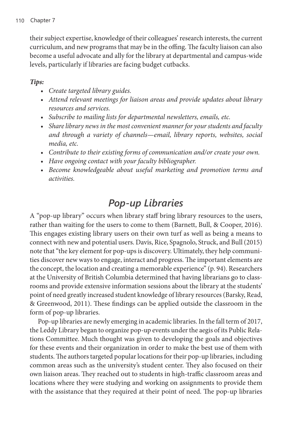their subject expertise, knowledge of their colleagues' research interests, the current curriculum, and new programs that may be in the offing. The faculty liaison can also become a useful advocate and ally for the library at departmental and campus-wide levels, particularly if libraries are facing budget cutbacks.

### *Tips:*

- *• Create targeted library guides.*
- *• Attend relevant meetings for liaison areas and provide updates about library resources and services.*
- *• Subscribe to mailing lists for departmental newsletters, emails, etc.*
- Share library news in the most convenient manner for your students and faculty *and through a variety of channels—email, library reports, websites, social media, etc.*
- *• Contribute to their existing forms of communication and/or create your own.*
- *• Have ongoing contact with your faculty bibliographer.*
- *• Become knowledgeable about useful marketing and promotion terms and activities.*

## *Pop-up Libraries*

A "pop-up library" occurs when library staff bring library resources to the users, rather than waiting for the users to come to them (Barnett, Bull, & Cooper, 2016). This engages existing library users on their own turf as well as being a means to connect with new and potential users. Davis, Rice, Spagnolo, Struck, and Bull (2015) note that "the key element for pop-ups is discovery. Ultimately, they help communities discover new ways to engage, interact and progress. The important elements are the concept, the location and creating a memorable experience" (p. 94). Researchers at the University of British Columbia determined that having librarians go to classrooms and provide extensive information sessions about the library at the students' point of need greatly increased student knowledge of library resources (Barsky, Read, & Greenwood, 2011). These findings can be applied outside the classroom in the form of pop-up libraries.

Pop-up libraries are newly emerging in academic libraries. In the fall term of 2017, the Leddy Library began to organize pop-up events under the aegis of its Public Relations Committee. Much thought was given to developing the goals and objectives for these events and their organization in order to make the best use of them with students. The authors targeted popular locations for their pop-up libraries, including common areas such as the university's student center. They also focused on their own liaison areas. They reached out to students in high-traffic classroom areas and locations where they were studying and working on assignments to provide them with the assistance that they required at their point of need. The pop-up libraries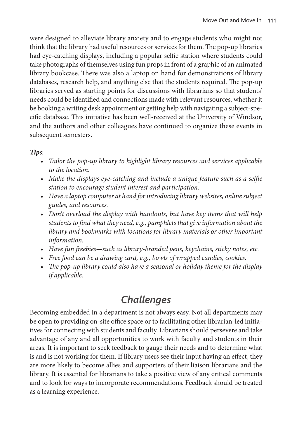were designed to alleviate library anxiety and to engage students who might not think that the library had useful resources or services for them. The pop-up libraries had eye-catching displays, including a popular selfie station where students could take photographs of themselves using fun props in front of a graphic of an animated library bookcase. There was also a laptop on hand for demonstrations of library databases, research help, and anything else that the students required. The pop-up libraries served as starting points for discussions with librarians so that students' needs could be identified and connections made with relevant resources, whether it be booking a writing desk appointment or getting help with navigating a subject-specific database. This initiative has been well-received at the University of Windsor, and the authors and other colleagues have continued to organize these events in subsequent semesters.

#### *Tips*:

- *• Tailor the pop-up library to highlight library resources and services applicable to the location.*
- *• Make the displays eye-catching and include a unique feature such as a selfie station to encourage student interest and participation.*
- Have a laptop computer at hand for introducing library websites, online subject *guides, and resources.*
- *• Don't overload the display with handouts, but have key items that will help students to find what they need, e.g., pamphlets that give information about the library and bookmarks with locations for library materials or other important information.*
- *• Have fun freebies—such as library-branded pens, keychains, sticky notes, etc.*
- *• Free food can be a drawing card, e.g., bowls of wrapped candies, cookies.*
- *• The pop-up library could also have a seasonal or holiday theme for the display if applicable.*

## *Challenges*

Becoming embedded in a department is not always easy. Not all departments may be open to providing on-site office space or to facilitating other librarian-led initiatives for connecting with students and faculty. Librarians should persevere and take advantage of any and all opportunities to work with faculty and students in their areas. It is important to seek feedback to gauge their needs and to determine what is and is not working for them. If library users see their input having an effect, they are more likely to become allies and supporters of their liaison librarians and the library. It is essential for librarians to take a positive view of any critical comments and to look for ways to incorporate recommendations. Feedback should be treated as a learning experience.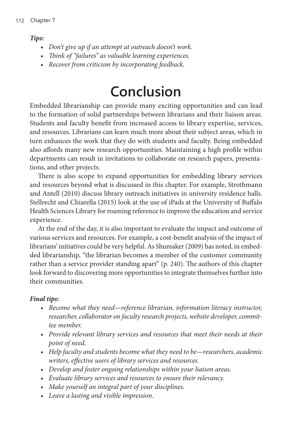#### *Tips:*

- *• Don't give up if an attempt at outreach doesn't work.*
- *• Think of "failures" as valuable learning experiences.*
- *• Recover from criticism by incorporating feedback.*

## **Conclusion**

Embedded librarianship can provide many exciting opportunities and can lead to the formation of solid partnerships between librarians and their liaison areas. Students and faculty benefit from increased access to library expertise, services, and resources. Librarians can learn much more about their subject areas, which in turn enhances the work that they do with students and faculty. Being embedded also affords many new research opportunities. Maintaining a high profile within departments can result in invitations to collaborate on research papers, presentations, and other projects.

There is also scope to expand opportunities for embedding library services and resources beyond what is discussed in this chapter. For example, Strothmann and Antell (2010) discuss library outreach initiatives in university residence halls. Stellrecht and Chiarella (2015) look at the use of iPads at the University of Buffalo Health Sciences Library for roaming reference to improve the education and service experience.

At the end of the day, it is also important to evaluate the impact and outcome of various services and resources. For example, a cost-benefit analysis of the impact of librarians' initiatives could be very helpful. As Shumaker (2009) has noted, in embedded librarianship, "the librarian becomes a member of the customer community rather than a service provider standing apart" (p. 240). The authors of this chapter look forward to discovering more opportunities to integrate themselves further into their communities.

#### *Final tips:*

- *• Become what they need—reference librarian, information literacy instructor, researcher, collaborator on faculty research projects, website developer, committee member.*
- Provide relevant library services and resources that meet their needs at their *point of need.*
- Help faculty and students become what they need to be—researchers, academic *writers, effective users of library services and resources.*
- *• Develop and foster ongoing relationships within your liaison areas.*
- *• Evaluate library services and resources to ensure their relevancy.*
- *• Make yourself an integral part of your disciplines.*
- *• Leave a lasting and visible impression.*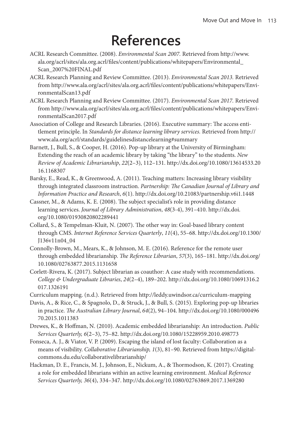## **References**

- ACRL Research Committee. (2008). *Environmental Scan 2007.* Retrieved from [http://www.](http://www.ala.org/acrl/sites/ala.org.acrl/files/content/publications/whitepapers/Environmental_Scan_2007%20FINAL.pdf) [ala.org/acrl/sites/ala.org.acrl/files/content/publications/whitepapers/Environmental\\_](http://www.ala.org/acrl/sites/ala.org.acrl/files/content/publications/whitepapers/Environmental_Scan_2007%20FINAL.pdf) [Scan\\_2007%20FINAL.pdf](http://www.ala.org/acrl/sites/ala.org.acrl/files/content/publications/whitepapers/Environmental_Scan_2007%20FINAL.pdf)
- ACRL Research Planning and Review Committee. (2013). *Environmental Scan 2013.* Retrieved from [http://www.ala.org/acrl/sites/ala.org.acrl/files/content/publications/whitepapers/Envi](http://www.ala.org/acrl/sites/ala.org.acrl/files/content/publications/whitepapers/EnvironmentalScan13.pdf)[ronmentalScan13.pdf](http://www.ala.org/acrl/sites/ala.org.acrl/files/content/publications/whitepapers/EnvironmentalScan13.pdf)
- ACRL Research Planning and Review Committee. (2017). *Environmental Scan 2017.* Retrieved from [http://www.ala.org/acrl/sites/ala.org.acrl/files/content/publications/whitepapers/Envi](http://www.ala.org/acrl/sites/ala.org.acrl/files/content/publications/whitepapers/EnvironmentalScan2017.pdf)[ronmentalScan2017.pdf](http://www.ala.org/acrl/sites/ala.org.acrl/files/content/publications/whitepapers/EnvironmentalScan2017.pdf)
- Association of College and Research Libraries. (2016). Executive summary: The access entitlement principle. In *Standards for distance learning library services.* Retrieved from [http://](http://www.ala.org/acrl/standards/guidelinesdistancelearning#summary) [www.ala.org/acrl/standards/guidelinesdistancelearning#summary](http://www.ala.org/acrl/standards/guidelinesdistancelearning#summary)
- Barnett, J., Bull, S., & Cooper, H. (2016). Pop-up library at the University of Birmingham: Extending the reach of an academic library by taking "the library" to the students. *New Review of Academic Librarianship*, *22*(2–3), 112–131. [http://dx.doi.org/10.1080/13614533.20](http://dx.doi.org/10.1080/13614533.2016.1168307) [16.1168307](http://dx.doi.org/10.1080/13614533.2016.1168307)
- Barsky, E., Read, K., & Greenwood, A. (2011). Teaching matters: Increasing library visibility through integrated classroom instruction. *Partnership: The Canadian Journal of Library and Information Practice and Research*, *6*(1).<http://dx.doi.org/10.21083/partnership.v6i1.1448>
- Cassner, M., & Adams, K. E. (2008). The subject specialist's role in providing distance learning services. *Journal of Library Administration*, *48*(3-4), 391–410. [http://dx.doi.](http://dx.doi.org/10.1080/01930820802289441) [org/10.1080/01930820802289441](http://dx.doi.org/10.1080/01930820802289441)
- Collard, S., & Tempelman-Kluit, N. (2007). The other way in: Goal-based library content through CMS. *Internet Reference Services Quarterly*, *11*(4), 55–68. [http://dx.doi.org/10.1300/](http://dx.doi.org/10.1300/J136v11n04_04) [J136v11n04\\_04](http://dx.doi.org/10.1300/J136v11n04_04)
- Connolly-Brown, M., Mears, K., & Johnson, M. E. (2016). Reference for the remote user through embedded librarianship. *The Reference Librarian*, *57*(3), 165–181. [http://dx.doi.org/](http://dx.doi.org/10.1080/02763877.2015.1131658) [10.1080/02763877.2015.1131658](http://dx.doi.org/10.1080/02763877.2015.1131658)
- Corlett-Rivera, K. (2017). Subject librarian as coauthor: A case study with recommendations. *College & Undergraduate Libraries*, *24*(2–4), 189–202. [http://dx.doi.org/10.1080/10691316.2](http://dx.doi.org/10.1080/10691316.2017.1326191) [017.1326191](http://dx.doi.org/10.1080/10691316.2017.1326191)
- Curriculum mapping. (n.d.). Retrieved from<http://leddy.uwindsor.ca/curriculum-mapping>
- Davis, A., & Rice, C., & Spagnolo, D., & Struck, J., & Bull, S. (2015). Exploring pop-up libraries in practice. *The Australian Library Journal*, *64*(2), 94–104. [http://dx.doi.org/10.1080/000496](http://dx.doi.org/10.1080/00049670.2015.1011383) [70.2015.1011383](http://dx.doi.org/10.1080/00049670.2015.1011383)
- Drewes, K., & Hoffman, N. (2010). Academic embedded librarianship: An introduction. *Public Services Quarterly, 6*(2–3), 75–82. http://dx.doi.org[/10.1080/15228959.2010.498773](https://doi-org.proxy3.library.mcgill.ca/10.1080/15228959.2010.498773)
- Fonseca, A. J., & Viator, V. P. (2009). Escaping the island of lost faculty: Collaboration as a means of visibility. *Collaborative Librarianship, 1*(3), 81–90. Retrieved from [https://digital](https://digitalcommons.du.edu/collaborativelibrarianship/)[commons.du.edu/collaborativelibrarianship/](https://digitalcommons.du.edu/collaborativelibrarianship/)
- Hackman, D. E., Francis, M. J., Johnson, E., Nickum, A., & Thormodson, K. (2017). Creating a role for embedded librarians within an active learning environment. *Medical Reference Services Quarterly, 36*(4), 334–347. http://dx.doi.org[/10.1080/02763869.2017.1369280](https://doi-org.proxy3.library.mcgill.ca/10.1080/02763869.2017.1369280)